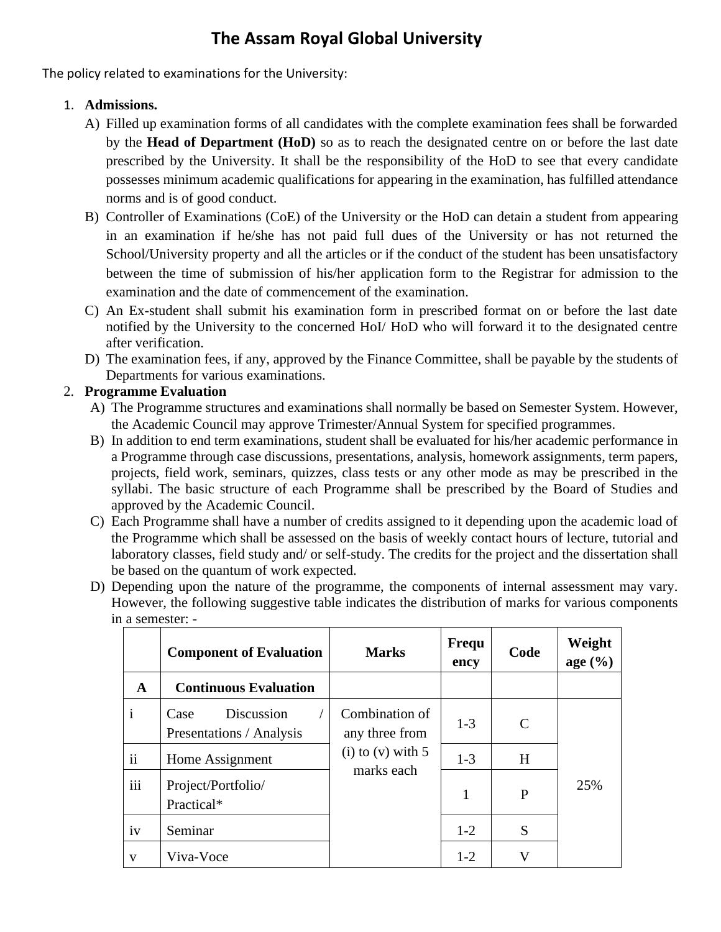# **The Assam Royal Global University**

The policy related to examinations for the University:

#### 1. **Admissions.**

- A) Filled up examination forms of all candidates with the complete examination fees shall be forwarded by the **Head of Department (HoD)** so as to reach the designated centre on or before the last date prescribed by the University. It shall be the responsibility of the HoD to see that every candidate possesses minimum academic qualifications for appearing in the examination, has fulfilled attendance norms and is of good conduct.
- B) Controller of Examinations (CoE) of the University or the HoD can detain a student from appearing in an examination if he/she has not paid full dues of the University or has not returned the School/University property and all the articles or if the conduct of the student has been unsatisfactory between the time of submission of his/her application form to the Registrar for admission to the examination and the date of commencement of the examination.
- C) An Ex-student shall submit his examination form in prescribed format on or before the last date notified by the University to the concerned HoI/ HoD who will forward it to the designated centre after verification.
- D) The examination fees, if any, approved by the Finance Committee, shall be payable by the students of Departments for various examinations.

# 2. **Programme Evaluation**

- A) The Programme structures and examinations shall normally be based on Semester System. However, the Academic Council may approve Trimester/Annual System for specified programmes.
- B) In addition to end term examinations, student shall be evaluated for his/her academic performance in a Programme through case discussions, presentations, analysis, homework assignments, term papers, projects, field work, seminars, quizzes, class tests or any other mode as may be prescribed in the syllabi. The basic structure of each Programme shall be prescribed by the Board of Studies and approved by the Academic Council.
- C) Each Programme shall have a number of credits assigned to it depending upon the academic load of the Programme which shall be assessed on the basis of weekly contact hours of lecture, tutorial and laboratory classes, field study and/ or self-study. The credits for the project and the dissertation shall be based on the quantum of work expected.
- D) Depending upon the nature of the programme, the components of internal assessment may vary. However, the following suggestive table indicates the distribution of marks for various components in a semester: -

|                | <b>Component of Evaluation</b>                 | <b>Marks</b>                     | Frequ<br>ency | Code          | Weight<br>age $(\%)$ |
|----------------|------------------------------------------------|----------------------------------|---------------|---------------|----------------------|
| A              | <b>Continuous Evaluation</b>                   |                                  |               |               |                      |
| $\mathbf{i}$   | Discussion<br>Case<br>Presentations / Analysis | Combination of<br>any three from | $1-3$         | $\mathcal{C}$ |                      |
| $\ddot{\rm n}$ | Home Assignment                                | $(i)$ to $(v)$ with 5            | $1-3$         | H             |                      |
| iii            | Project/Portfolio/<br>Practical*               | marks each                       | 1             | P             | 25%                  |
| iv             | Seminar                                        |                                  | $1 - 2$       | S             |                      |
| V              | Viva-Voce                                      |                                  | $1-2$         | V             |                      |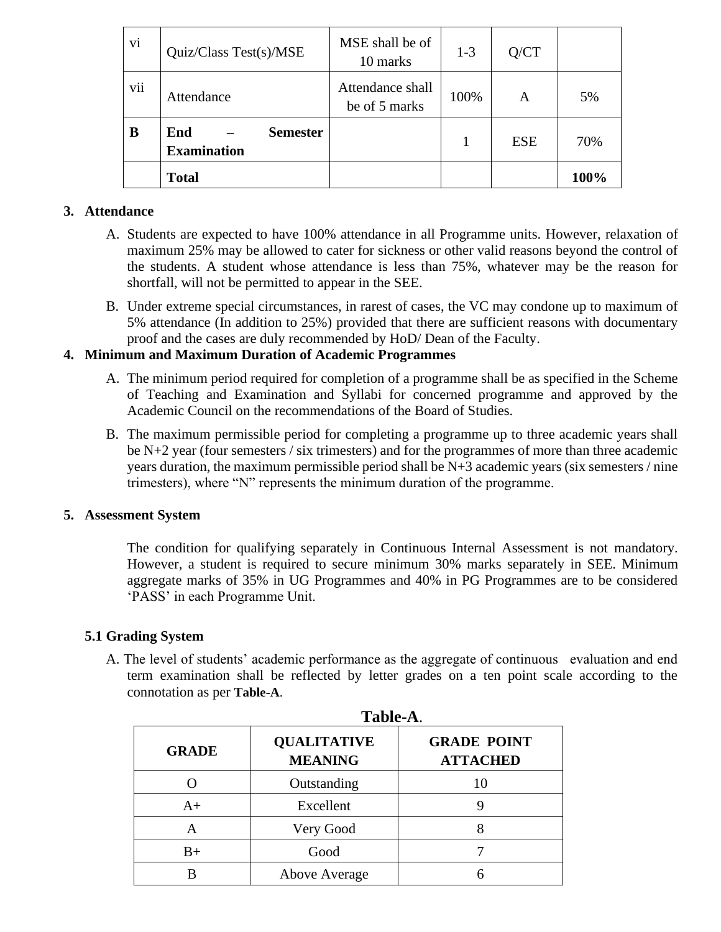| vi  | Quiz/Class Test(s)/MSE                       | MSE shall be of<br>10 marks       | $1 - 3$ | Q/CT       |      |
|-----|----------------------------------------------|-----------------------------------|---------|------------|------|
| vii | Attendance                                   | Attendance shall<br>be of 5 marks | 100%    | A          | 5%   |
| B   | End<br><b>Semester</b><br><b>Examination</b> |                                   |         | <b>ESE</b> | 70%  |
|     | <b>Total</b>                                 |                                   |         |            | 100% |

## **3. Attendance**

- A. Students are expected to have 100% attendance in all Programme units. However, relaxation of maximum 25% may be allowed to cater for sickness or other valid reasons beyond the control of the students. A student whose attendance is less than 75%, whatever may be the reason for shortfall, will not be permitted to appear in the SEE.
- B. Under extreme special circumstances, in rarest of cases, the VC may condone up to maximum of 5% attendance (In addition to 25%) provided that there are sufficient reasons with documentary proof and the cases are duly recommended by HoD/ Dean of the Faculty.

#### **4. Minimum and Maximum Duration of Academic Programmes**

- A. The minimum period required for completion of a programme shall be as specified in the Scheme of Teaching and Examination and Syllabi for concerned programme and approved by the Academic Council on the recommendations of the Board of Studies.
- B. The maximum permissible period for completing a programme up to three academic years shall be N+2 year (four semesters / six trimesters) and for the programmes of more than three academic years duration, the maximum permissible period shall be N+3 academic years (six semesters / nine trimesters), where "N" represents the minimum duration of the programme.

#### **5. Assessment System**

The condition for qualifying separately in Continuous Internal Assessment is not mandatory. However, a student is required to secure minimum 30% marks separately in SEE. Minimum aggregate marks of 35% in UG Programmes and 40% in PG Programmes are to be considered 'PASS' in each Programme Unit.

#### **5.1 Grading System**

A. The level of students' academic performance as the aggregate of continuous evaluation and end term examination shall be reflected by letter grades on a ten point scale according to the connotation as per **Table-A**.

|              | Table-A.                             |                                       |
|--------------|--------------------------------------|---------------------------------------|
| <b>GRADE</b> | <b>QUALITATIVE</b><br><b>MEANING</b> | <b>GRADE POINT</b><br><b>ATTACHED</b> |
|              | Outstanding                          | 10                                    |
| $A+$         | Excellent                            |                                       |
| Α            | Very Good                            | 8                                     |
| $B+$         | Good                                 |                                       |
|              | <b>Above Average</b>                 |                                       |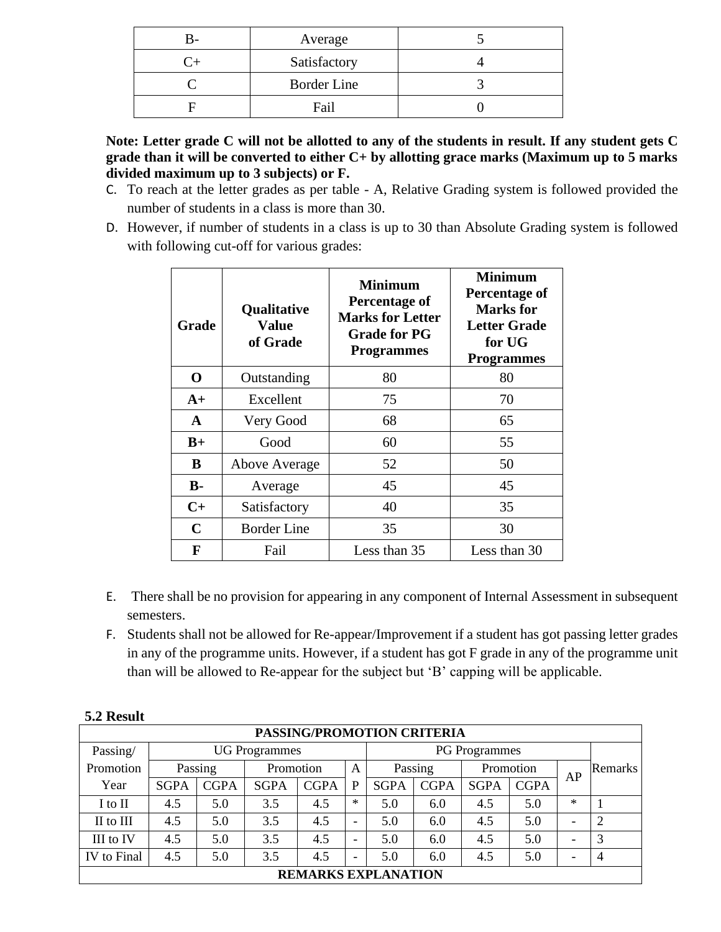| ĸ- | Average            |  |
|----|--------------------|--|
|    | Satisfactory       |  |
|    | <b>Border Line</b> |  |
|    | Fail               |  |

**Note: Letter grade C will not be allotted to any of the students in result. If any student gets C grade than it will be converted to either C+ by allotting grace marks (Maximum up to 5 marks divided maximum up to 3 subjects) or F.**

- C. To reach at the letter grades as per table A, Relative Grading system is followed provided the number of students in a class is more than 30.
- D. However, if number of students in a class is up to 30 than Absolute Grading system is followed with following cut-off for various grades:

| Grade       | Qualitative<br><b>Value</b><br>of Grade | <b>Minimum</b><br>Percentage of<br><b>Marks for Letter</b><br><b>Grade for PG</b><br><b>Programmes</b> | <b>Minimum</b><br>Percentage of<br><b>Marks</b> for<br><b>Letter Grade</b><br>for UG<br><b>Programmes</b> |  |
|-------------|-----------------------------------------|--------------------------------------------------------------------------------------------------------|-----------------------------------------------------------------------------------------------------------|--|
| $\mathbf 0$ | Outstanding                             | 80                                                                                                     | 80                                                                                                        |  |
| $A+$        | Excellent                               | 75                                                                                                     | 70                                                                                                        |  |
| A           | Very Good                               | 68                                                                                                     | 65                                                                                                        |  |
| $B+$        | Good                                    | 60                                                                                                     | 55                                                                                                        |  |
| B           | <b>Above Average</b>                    | 52                                                                                                     | 50                                                                                                        |  |
| <b>B-</b>   | Average                                 | 45                                                                                                     | 45                                                                                                        |  |
| $C+$        | Satisfactory                            | 40                                                                                                     | 35                                                                                                        |  |
| $\mathbf C$ | <b>Border Line</b>                      | 35                                                                                                     | 30                                                                                                        |  |
| F           | Fail                                    | Less than 35                                                                                           | Less than 30                                                                                              |  |

- E. There shall be no provision for appearing in any component of Internal Assessment in subsequent semesters.
- F. Students shall not be allowed for Re-appear/Improvement if a student has got passing letter grades in any of the programme units. However, if a student has got F grade in any of the programme unit than will be allowed to Re-appear for the subject but 'B' capping will be applicable.

| PASSING/PROMOTION CRITERIA |                      |             |             |             |                          |             |             |             |             |   |   |
|----------------------------|----------------------|-------------|-------------|-------------|--------------------------|-------------|-------------|-------------|-------------|---|---|
| Passing/                   | <b>UG</b> Programmes |             |             |             | <b>PG</b> Programmes     |             |             |             |             |   |   |
| Promotion                  | Passing<br>Promotion |             | A           |             | Passing                  | Promotion   |             | AP          | Remarks     |   |   |
| Year                       | <b>SGPA</b>          | <b>CGPA</b> | <b>SGPA</b> | <b>CGPA</b> | P                        | <b>SGPA</b> | <b>CGPA</b> | <b>SGPA</b> | <b>CGPA</b> |   |   |
| I to II                    | 4.5                  | 5.0         | 3.5         | 4.5         | ∗                        | 5.0         | 6.0         | 4.5         | 5.0         | ∗ |   |
| II to III                  | 4.5                  | 5.0         | 3.5         | 4.5         | $\overline{\phantom{0}}$ | 5.0         | 6.0         | 4.5         | 5.0         | - |   |
| III to IV                  | 4.5                  | 5.0         | 3.5         | 4.5         | $\overline{\phantom{a}}$ | 5.0         | 6.0         | 4.5         | 5.0         |   | 3 |
| <b>IV</b> to Final         | 4.5                  | 5.0         | 3.5         | 4.5         |                          | 5.0         | 6.0         | 4.5         | 5.0         |   | 4 |
| <b>REMARKS EXPLANATION</b> |                      |             |             |             |                          |             |             |             |             |   |   |

**5.2 Result**